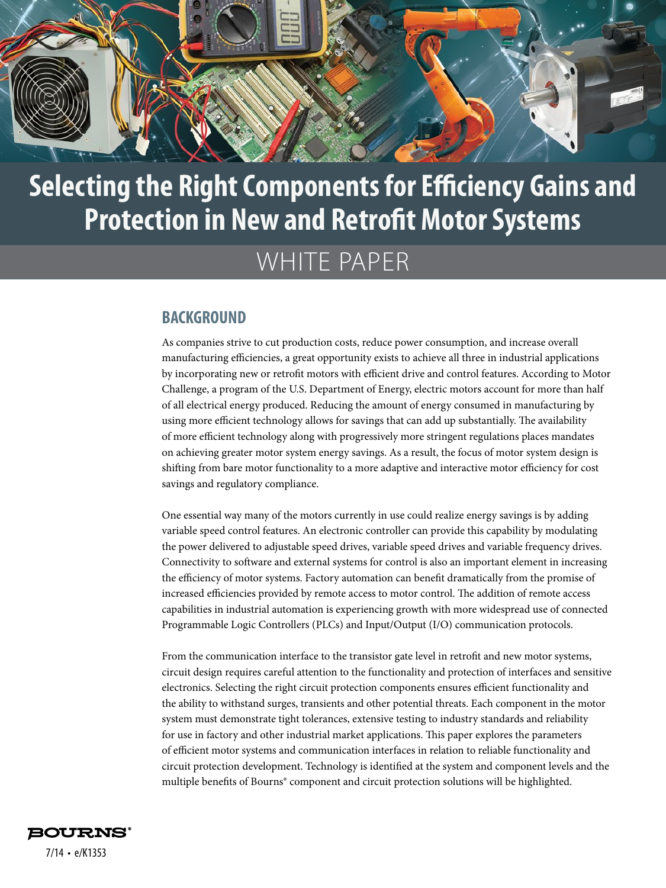

## WHITE PAPER

#### **BACKGROUND**

As companies strive to cut production costs, reduce power consumption, and increase overall manufacturing efficiencies, a great opportunity exists to achieve all three in industrial applications by incorporating new or retrofit motors with efficient drive and control features. According to Motor Challenge, a program of the U.S. Department of Energy, electric motors account for more than half of all electrical energy produced. Reducing the amount of energy consumed in manufacturing by using more efficient technology allows for savings that can add up substantially. The availability of more efficient technology along with progressively more stringent regulations places mandates on achieving greater motor system energy savings. As a result, the focus of motor system design is shifting from bare motor functionality to a more adaptive and interactive motor efficiency for cost savings and regulatory compliance.

One essential way many of the motors currently in use could realize energy savings is by adding variable speed control features. An electronic controller can provide this capability by modulating the power delivered to adjustable speed drives, variable speed drives and variable frequency drives. Connectivity to software and external systems for control is also an important element in increasing the efficiency of motor systems. Factory automation can benefit dramatically from the promise of increased efficiencies provided by remote access to motor control. The addition of remote access capabilities in industrial automation is experiencing growth with more widespread use of connected Programmable Logic Controllers (PLCs) and Input/Output (I/O) communication protocols.

From the communication interface to the transistor gate level in retrofit and new motor systems, circuit design requires careful attention to the functionality and protection of interfaces and sensitive electronics. Selecting the right circuit protection components ensures efficient functionality and the ability to withstand surges, transients and other potential threats. Each component in the motor system must demonstrate tight tolerances, extensive testing to industry standards and reliability for use in factory and other industrial market applications. This paper explores the parameters of efficient motor systems and communication interfaces in relation to reliable functionality and circuit protection development. Technology is identified at the system and component levels and the multiple benefits of Bourns® component and circuit protection solutions will be highlighted.

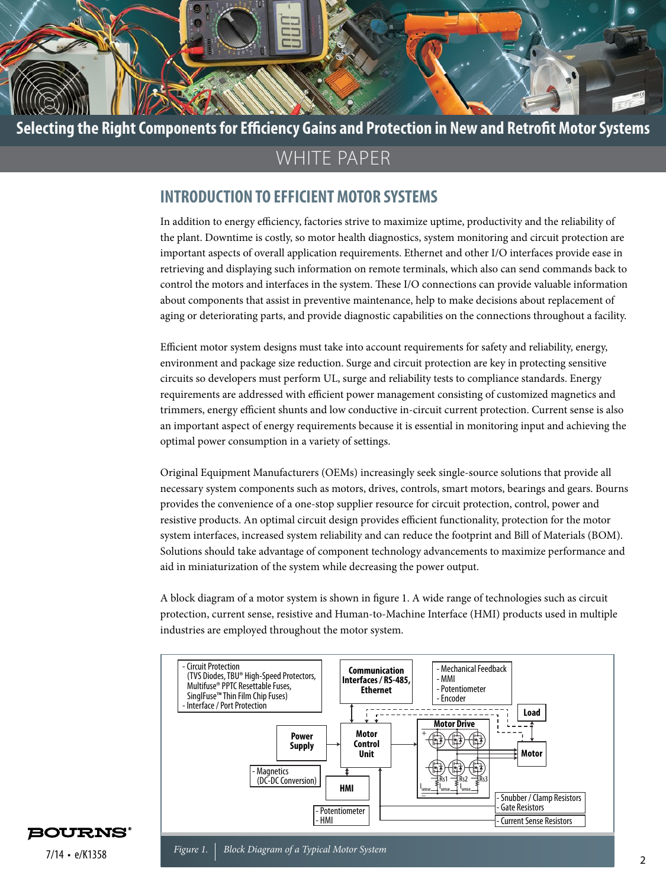

## WHITE PAPER

#### **INTRODUCTION TO EFFICIENT MOTOR SYSTEMS**

In addition to energy efficiency, factories strive to maximize uptime, productivity and the reliability of the plant. Downtime is costly, so motor health diagnostics, system monitoring and circuit protection are important aspects of overall application requirements. Ethernet and other I/O interfaces provide ease in retrieving and displaying such information on remote terminals, which also can send commands back to control the motors and interfaces in the system. These I/O connections can provide valuable information about components that assist in preventive maintenance, help to make decisions about replacement of aging or deteriorating parts, and provide diagnostic capabilities on the connections throughout a facility.

Efficient motor system designs must take into account requirements for safety and reliability, energy, environment and package size reduction. Surge and circuit protection are key in protecting sensitive circuits so developers must perform UL, surge and reliability tests to compliance standards. Energy requirements are addressed with efficient power management consisting of customized magnetics and trimmers, energy efficient shunts and low conductive in-circuit current protection. Current sense is also an important aspect of energy requirements because it is essential in monitoring input and achieving the optimal power consumption in a variety of settings.

Original Equipment Manufacturers (OEMs) increasingly seek single-source solutions that provide all necessary system components such as motors, drives, controls, smart motors, bearings and gears. Bourns provides the convenience of a one-stop supplier resource for circuit protection, control, power and resistive products. An optimal circuit design provides efficient functionality, protection for the motor system interfaces, increased system reliability and can reduce the footprint and Bill of Materials (BOM). Solutions should take advantage of component technology advancements to maximize performance and aid in miniaturization of the system while decreasing the power output.

A block diagram of a motor system is shown in figure 1. A wide range of technologies such as circuit protection, current sense, resistive and Human-to-Machine Interface (HMI) products used in multiple industries are employed throughout the motor system.

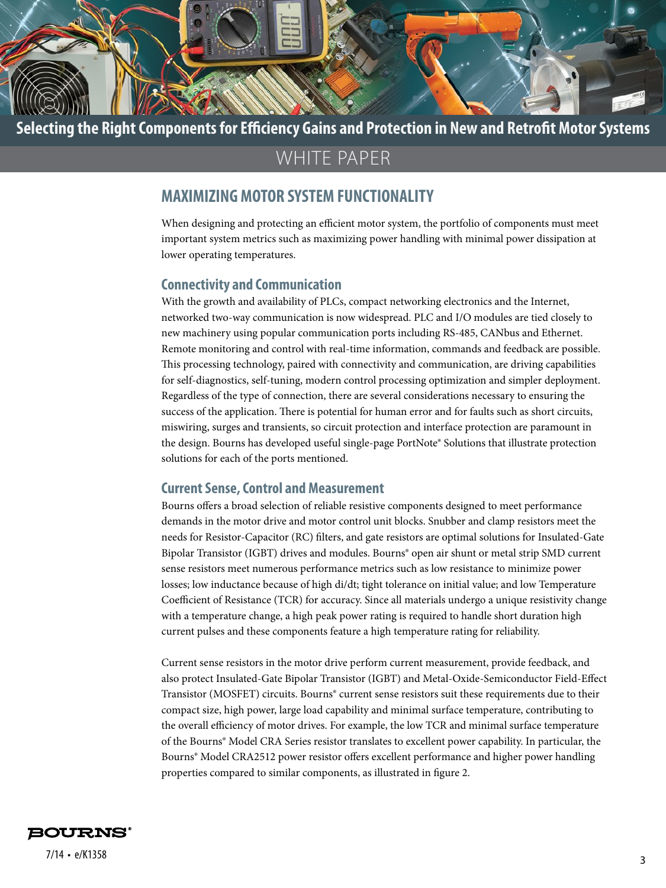

#### WHITE PAPER

#### **MAXIMIZING MOTOR SYSTEM FUNCTIONALITY**

When designing and protecting an efficient motor system, the portfolio of components must meet important system metrics such as maximizing power handling with minimal power dissipation at lower operating temperatures.

#### **Connectivity and Communication**

With the growth and availability of PLCs, compact networking electronics and the Internet, networked two-way communication is now widespread. PLC and I/O modules are tied closely to new machinery using popular communication ports including RS-485, CANbus and Ethernet. Remote monitoring and control with real-time information, commands and feedback are possible. This processing technology, paired with connectivity and communication, are driving capabilities for self-diagnostics, self-tuning, modern control processing optimization and simpler deployment. Regardless of the type of connection, there are several considerations necessary to ensuring the success of the application. There is potential for human error and for faults such as short circuits, miswiring, surges and transients, so circuit protection and interface protection are paramount in the design. Bourns has developed useful single-page PortNote® Solutions that illustrate protection solutions for each of the ports mentioned.

#### **Current Sense, Control and Measurement**

Bourns offers a broad selection of reliable resistive components designed to meet performance demands in the motor drive and motor control unit blocks. Snubber and clamp resistors meet the needs for Resistor-Capacitor (RC) filters, and gate resistors are optimal solutions for Insulated-Gate Bipolar Transistor (IGBT) drives and modules. Bourns® open air shunt or metal strip SMD current sense resistors meet numerous performance metrics such as low resistance to minimize power losses; low inductance because of high di/dt; tight tolerance on initial value; and low Temperature Coefficient of Resistance (TCR) for accuracy. Since all materials undergo a unique resistivity change with a temperature change, a high peak power rating is required to handle short duration high current pulses and these components feature a high temperature rating for reliability.

Current sense resistors in the motor drive perform current measurement, provide feedback, and also protect Insulated-Gate Bipolar Transistor (IGBT) and Metal-Oxide-Semiconductor Field-Effect Transistor (MOSFET) circuits. Bourns® current sense resistors suit these requirements due to their compact size, high power, large load capability and minimal surface temperature, contributing to the overall efficiency of motor drives. For example, the low TCR and minimal surface temperature of the Bourns® Model CRA Series resistor translates to excellent power capability. In particular, the Bourns® Model CRA2512 power resistor offers excellent performance and higher power handling properties compared to similar components, as illustrated in figure 2.

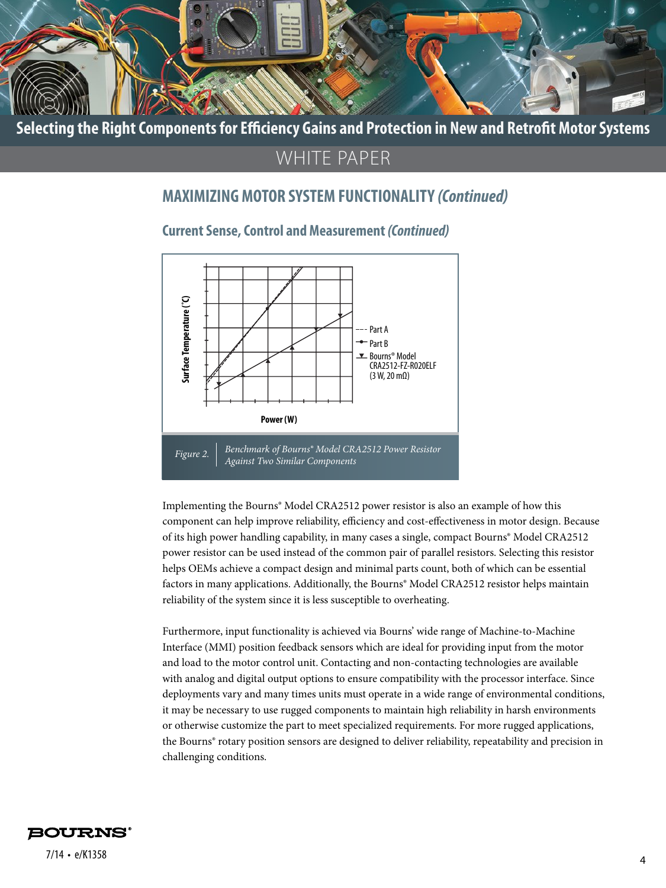

#### WHITE PAPER

#### **MAXIMIZING MOTOR SYSTEM FUNCTIONALITY** *(Continued)*

## **Current Sense, Control and Measurement** *(Continued)*



Implementing the Bourns® Model CRA2512 power resistor is also an example of how this component can help improve reliability, efficiency and cost-effectiveness in motor design. Because of its high power handling capability, in many cases a single, compact Bourns® Model CRA2512 power resistor can be used instead of the common pair of parallel resistors. Selecting this resistor helps OEMs achieve a compact design and minimal parts count, both of which can be essential factors in many applications. Additionally, the Bourns® Model CRA2512 resistor helps maintain reliability of the system since it is less susceptible to overheating.

Furthermore, input functionality is achieved via Bourns' wide range of Machine-to-Machine Interface (MMI) position feedback sensors which are ideal for providing input from the motor and load to the motor control unit. Contacting and non-contacting technologies are available with analog and digital output options to ensure compatibility with the processor interface. Since deployments vary and many times units must operate in a wide range of environmental conditions, it may be necessary to use rugged components to maintain high reliability in harsh environments or otherwise customize the part to meet specialized requirements. For more rugged applications, the Bourns® rotary position sensors are designed to deliver reliability, repeatability and precision in challenging conditions.



<sup>4</sup> 7/14 • e/K1358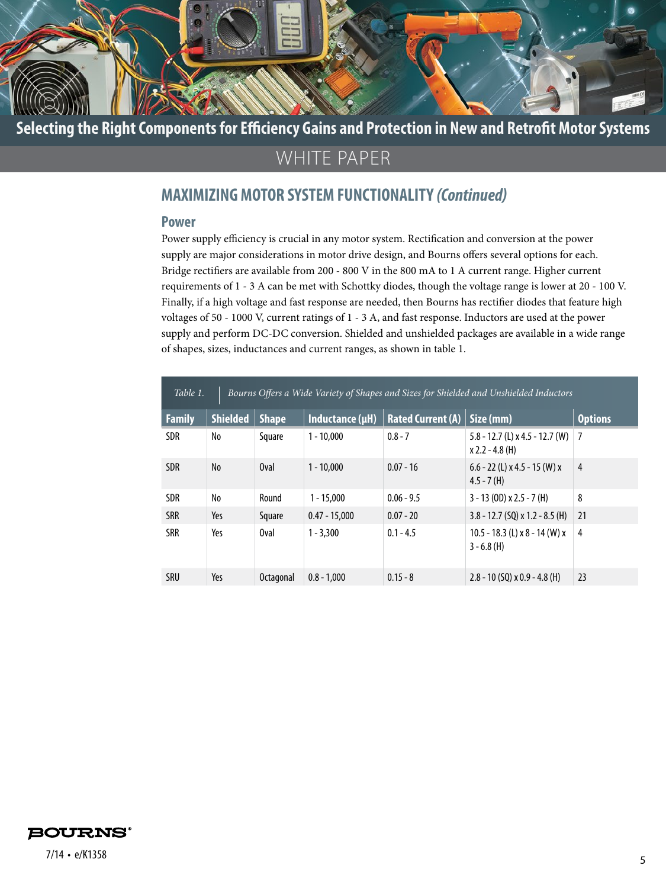

## WHITE PAPER

## **MAXIMIZING MOTOR SYSTEM FUNCTIONALITY** *(Continued)*

#### **Power**

Power supply efficiency is crucial in any motor system. Rectification and conversion at the power supply are major considerations in motor drive design, and Bourns offers several options for each. Bridge rectifiers are available from 200 - 800 V in the 800 mA to 1 A current range. Higher current requirements of 1 - 3 A can be met with Schottky diodes, though the voltage range is lower at 20 - 100 V. Finally, if a high voltage and fast response are needed, then Bourns has rectifier diodes that feature high voltages of 50 - 1000 V, current ratings of 1 - 3 A, and fast response. Inductors are used at the power supply and perform DC-DC conversion. Shielded and unshielded packages are available in a wide range of shapes, sizes, inductances and current ranges, as shown in table 1.

| Table 1.<br>Bourns Offers a Wide Variety of Shapes and Sizes for Shielded and Unshielded Inductors |                 |              |                        |                          |                                                        |                |
|----------------------------------------------------------------------------------------------------|-----------------|--------------|------------------------|--------------------------|--------------------------------------------------------|----------------|
| <b>Family</b>                                                                                      | <b>Shielded</b> | <b>Shape</b> | <b>Inductance (µH)</b> | <b>Rated Current (A)</b> | Size (mm)                                              | <b>Options</b> |
| SDR                                                                                                | No              | Square       | $1 - 10,000$           | $0.8 - 7$                | $5.8 - 12.7$ (L) x 4.5 - 12.7 (W)<br>$x 2.2 - 4.8$ (H) | $\overline{7}$ |
| SDR                                                                                                | No              | Oval         | $1 - 10,000$           | $0.07 - 16$              | 6.6 - 22 (L) x 4.5 - 15 (W) x<br>$4.5 - 7(H)$          | $\overline{4}$ |
| <b>SDR</b>                                                                                         | No              | Round        | $1 - 15.000$           | $0.06 - 9.5$             | $3 - 13$ (OD) x 2.5 - 7 (H)                            | 8              |
| <b>SRR</b>                                                                                         | Yes             | Square       | $0.47 - 15,000$        | $0.07 - 20$              | $3.8 - 12.7$ (SQ) x 1.2 - 8.5 (H)                      | 21             |
| <b>SRR</b>                                                                                         | Yes             | Oval         | $1 - 3.300$            | $0.1 - 4.5$              | $10.5 - 18.3$ (L) x 8 - 14 (W) x<br>$3 - 6.8$ (H)      | 4              |
| SRU                                                                                                | Yes             | Octagonal    | $0.8 - 1.000$          | $0.15 - 8$               | $2.8 - 10(50) \times 0.9 - 4.8(H)$                     | 23             |



<sup>5</sup> 7/14 • e/K1358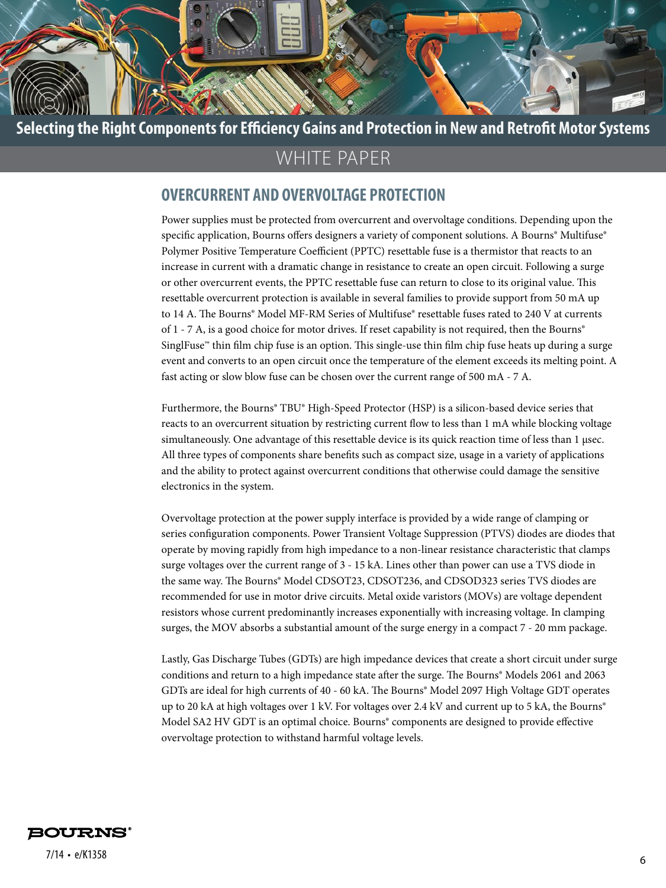

#### WHITE PAPER

#### **OVERCURRENT AND OVERVOLTAGE PROTECTION**

Power supplies must be protected from overcurrent and overvoltage conditions. Depending upon the specific application, Bourns offers designers a variety of component solutions. A Bourns® Multifuse® Polymer Positive Temperature Coefficient (PPTC) resettable fuse is a thermistor that reacts to an increase in current with a dramatic change in resistance to create an open circuit. Following a surge or other overcurrent events, the PPTC resettable fuse can return to close to its original value. This resettable overcurrent protection is available in several families to provide support from 50 mA up to 14 A. The Bourns® Model MF-RM Series of Multifuse® resettable fuses rated to 240 V at currents of 1 - 7 A, is a good choice for motor drives. If reset capability is not required, then the Bourns® SinglFuse™ thin film chip fuse is an option. This single-use thin film chip fuse heats up during a surge event and converts to an open circuit once the temperature of the element exceeds its melting point. A fast acting or slow blow fuse can be chosen over the current range of 500 mA - 7 A.

Furthermore, the Bourns® TBU® High-Speed Protector (HSP) is a silicon-based device series that reacts to an overcurrent situation by restricting current flow to less than 1 mA while blocking voltage simultaneously. One advantage of this resettable device is its quick reaction time of less than 1 usec. All three types of components share benefits such as compact size, usage in a variety of applications and the ability to protect against overcurrent conditions that otherwise could damage the sensitive electronics in the system.

Overvoltage protection at the power supply interface is provided by a wide range of clamping or series configuration components. Power Transient Voltage Suppression (PTVS) diodes are diodes that operate by moving rapidly from high impedance to a non-linear resistance characteristic that clamps surge voltages over the current range of 3 - 15 kA. Lines other than power can use a TVS diode in the same way. The Bourns® Model CDSOT23, CDSOT236, and CDSOD323 series TVS diodes are recommended for use in motor drive circuits. Metal oxide varistors (MOVs) are voltage dependent resistors whose current predominantly increases exponentially with increasing voltage. In clamping surges, the MOV absorbs a substantial amount of the surge energy in a compact 7 - 20 mm package.

Lastly, Gas Discharge Tubes (GDTs) are high impedance devices that create a short circuit under surge conditions and return to a high impedance state after the surge. The Bourns® Models 2061 and 2063 GDTs are ideal for high currents of 40 - 60 kA. The Bourns® Model 2097 High Voltage GDT operates up to 20 kA at high voltages over 1 kV. For voltages over 2.4 kV and current up to 5 kA, the Bourns® Model SA2 HV GDT is an optimal choice. Bourns® components are designed to provide effective overvoltage protection to withstand harmful voltage levels.